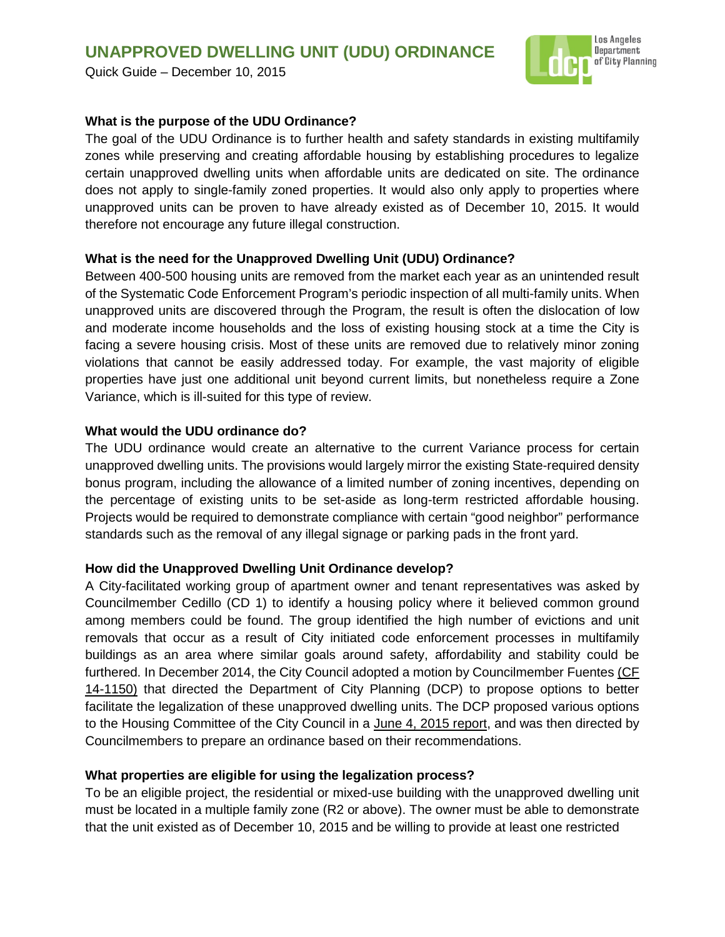# **UNAPPROVED DWELLING UNIT (UDU) ORDINANCE**

Quick Guide – December 10, 2015



#### **What is the purpose of the UDU Ordinance?**

The goal of the UDU Ordinance is to further health and safety standards in existing multifamily zones while preserving and creating affordable housing by establishing procedures to legalize certain unapproved dwelling units when affordable units are dedicated on site. The ordinance does not apply to single-family zoned properties. It would also only apply to properties where unapproved units can be proven to have already existed as of December 10, 2015. It would therefore not encourage any future illegal construction.

#### **What is the need for the Unapproved Dwelling Unit (UDU) Ordinance?**

Between 400-500 housing units are removed from the market each year as an unintended result of the Systematic Code Enforcement Program's periodic inspection of all multi-family units. When unapproved units are discovered through the Program, the result is often the dislocation of low and moderate income households and the loss of existing housing stock at a time the City is facing a severe housing crisis. Most of these units are removed due to relatively minor zoning violations that cannot be easily addressed today. For example, the vast majority of eligible properties have just one additional unit beyond current limits, but nonetheless require a Zone Variance, which is ill-suited for this type of review.

#### **What would the UDU ordinance do?**

The UDU ordinance would create an alternative to the current Variance process for certain unapproved dwelling units. The provisions would largely mirror the existing State-required density bonus program, including the allowance of a limited number of zoning incentives, depending on the percentage of existing units to be set-aside as long-term restricted affordable housing. Projects would be required to demonstrate compliance with certain "good neighbor" performance standards such as the removal of any illegal signage or parking pads in the front yard.

#### **How did the Unapproved Dwelling Unit Ordinance develop?**

A City-facilitated working group of apartment owner and tenant representatives was asked by Councilmember Cedillo (CD 1) to identify a housing policy where it believed common ground among members could be found. The group identified the high number of evictions and unit removals that occur as a result of City initiated code enforcement processes in multifamily buildings as an area where similar goals around safety, affordability and stability could be furthered. In December 2014, the City Council adopted a motion by Councilmember Fuentes [\(CF](https://cityclerk.lacity.org/lacityclerkconnect/index.cfm?fa=ccfi.viewrecord&cfnumber=14-1150)  [14-1150\)](https://cityclerk.lacity.org/lacityclerkconnect/index.cfm?fa=ccfi.viewrecord&cfnumber=14-1150) that directed the Department of City Planning (DCP) to propose options to better facilitate the legalization of these unapproved dwelling units. The DCP proposed various options to the Housing Committee of the City Council in a [June 4, 2015 report,](http://clkrep.lacity.org/onlinedocs/2014/14-1150_rpt_PLAN_06-05-2015.pdf) and was then directed by Councilmembers to prepare an ordinance based on their recommendations.

# **What properties are eligible for using the legalization process?**

To be an eligible project, the residential or mixed-use building with the unapproved dwelling unit must be located in a multiple family zone (R2 or above). The owner must be able to demonstrate that the unit existed as of December 10, 2015 and be willing to provide at least one restricted